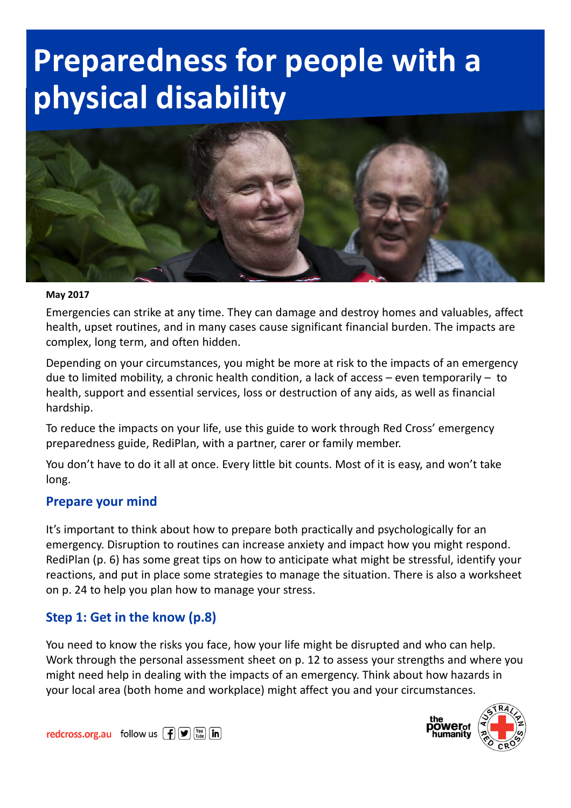# Preparedness for people with a physical disability



#### May 2017

Emergencies can strike at any time. They can damage and destroy homes and valuables, affect health, upset routines, and in many cases cause significant financial burden. The impacts are complex, long term, and often hidden.

Depending on your circumstances, you might be more at risk to the impacts of an emergency due to limited mobility, a chronic health condition, a lack of access – even temporarily – to health, support and essential services, loss or destruction of any aids, as well as financial hardship.

To reduce the impacts on your life, use this guide to work through Red Cross' emergency preparedness guide, RediPlan, with a partner, carer or family member.

You don't have to do it all at once. Every little bit counts. Most of it is easy, and won't take long.

#### Prepare your mind

It's important to think about how to prepare both practically and psychologically for an emergency. Disruption to routines can increase anxiety and impact how you might respond. RediPlan (p. 6) has some great tips on how to anticipate what might be stressful, identify your reactions, and put in place some strategies to manage the situation. There is also a worksheet on p. 24 to help you plan how to manage your stress.

#### Step 1: Get in the know (p.8)

You need to know the risks you face, how your life might be disrupted and who can help. Work through the personal assessment sheet on p. 12 to assess your strengths and where you might need help in dealing with the impacts of an emergency. Think about how hazards in your local area (both home and workplace) might affect you and your circumstances.